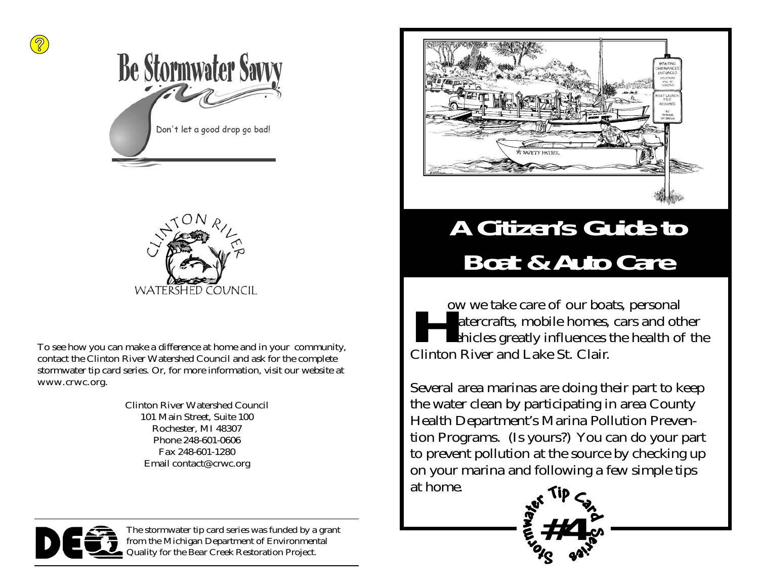



To see how you can make a difference at home and in your community, contact the Clinton River Watershed Council and ask for the complete stormwater tip card series. Or, for more information, visit our website at www.crwc.org.

> Clinton River Watershed Council 101 Main Street, Suite 100 Rochester, MI 48307 Phone 248-601-0606 Fax 248-601-1280 Email contact@crwc.org



The stormwater tip card series was funded by a grant from the Michigan Department of Environmental Quality for the Bear Creek Restoration Project.



#### **A Citizen's Guide to Boat & Auto Care**

**How we take care of our boats, personal watercrafts, mobile homes, cars and other vehicles greatly influences the health of the** Clinton River and Lake St. Clair.

Several area marinas are doing their part to keep the water clean by participating in area County Health Department's Marina Pollution Prevention Programs. (Is yours?) You can do your part to prevent pollution at the source by checking up on your marina and following a few simple tips at home.